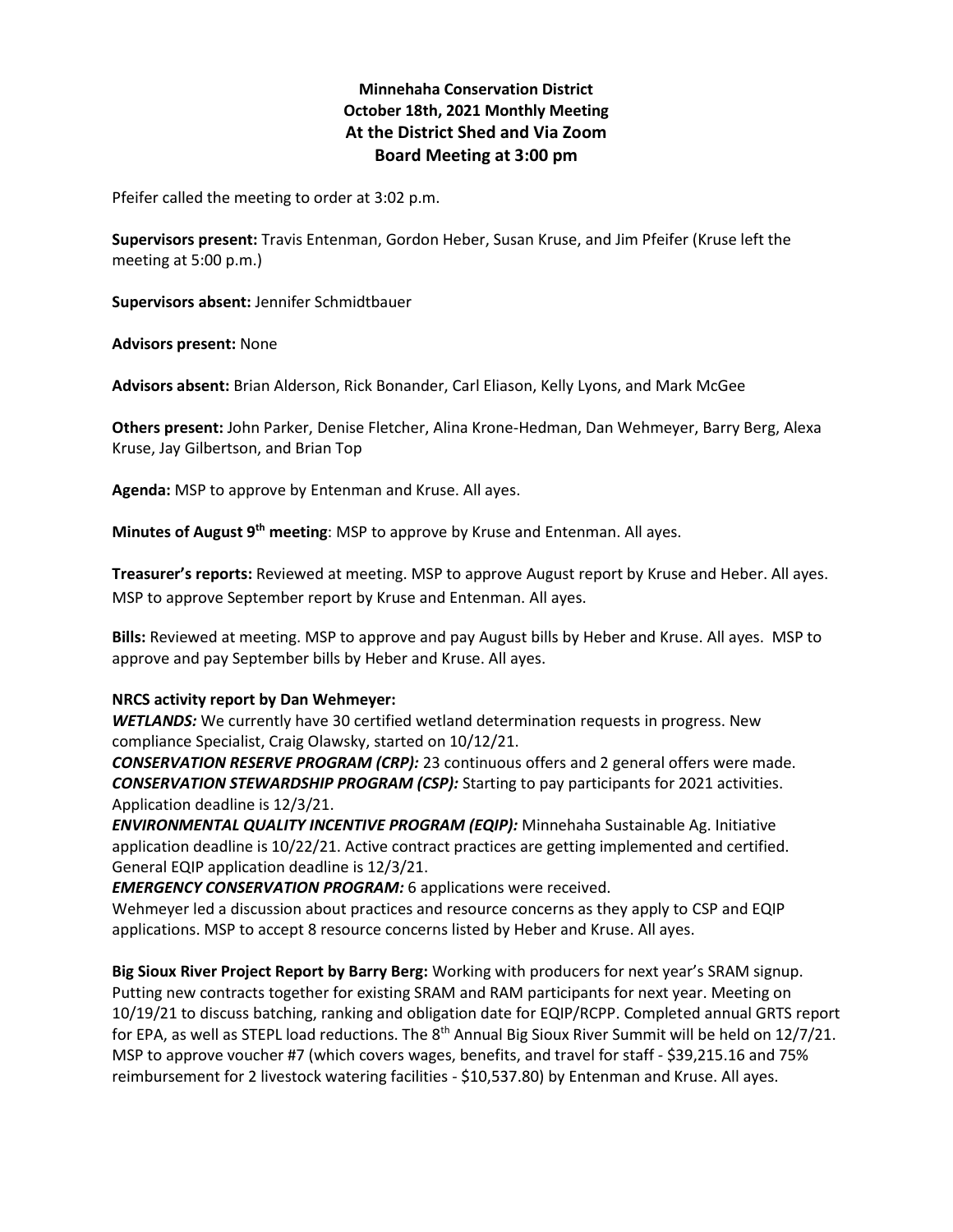# **Minnehaha Conservation District October 18th, 2021 Monthly Meeting At the District Shed and Via Zoom Board Meeting at 3:00 pm**

Pfeifer called the meeting to order at 3:02 p.m.

**Supervisors present:** Travis Entenman, Gordon Heber, Susan Kruse, and Jim Pfeifer (Kruse left the meeting at 5:00 p.m.)

**Supervisors absent:** Jennifer Schmidtbauer

**Advisors present:** None

**Advisors absent:** Brian Alderson, Rick Bonander, Carl Eliason, Kelly Lyons, and Mark McGee

**Others present:** John Parker, Denise Fletcher, Alina Krone-Hedman, Dan Wehmeyer, Barry Berg, Alexa Kruse, Jay Gilbertson, and Brian Top

**Agenda:** MSP to approve by Entenman and Kruse. All ayes.

**Minutes of August 9th meeting**: MSP to approve by Kruse and Entenman. All ayes.

**Treasurer's reports:** Reviewed at meeting. MSP to approve August report by Kruse and Heber. All ayes. MSP to approve September report by Kruse and Entenman. All ayes.

**Bills:** Reviewed at meeting. MSP to approve and pay August bills by Heber and Kruse. All ayes. MSP to approve and pay September bills by Heber and Kruse. All ayes.

### **NRCS activity report by Dan Wehmeyer:**

*WETLANDS:* We currently have 30 certified wetland determination requests in progress. New compliance Specialist, Craig Olawsky, started on 10/12/21.

*CONSERVATION RESERVE PROGRAM (CRP):* 23 continuous offers and 2 general offers were made. *CONSERVATION STEWARDSHIP PROGRAM (CSP):* Starting to pay participants for 2021 activities. Application deadline is 12/3/21.

*ENVIRONMENTAL QUALITY INCENTIVE PROGRAM (EQIP):* Minnehaha Sustainable Ag. Initiative application deadline is 10/22/21. Active contract practices are getting implemented and certified. General EQIP application deadline is 12/3/21.

*EMERGENCY CONSERVATION PROGRAM:* 6 applications were received.

Wehmeyer led a discussion about practices and resource concerns as they apply to CSP and EQIP applications. MSP to accept 8 resource concerns listed by Heber and Kruse. All ayes.

**Big Sioux River Project Report by Barry Berg:** Working with producers for next year's SRAM signup. Putting new contracts together for existing SRAM and RAM participants for next year. Meeting on 10/19/21 to discuss batching, ranking and obligation date for EQIP/RCPP. Completed annual GRTS report for EPA, as well as STEPL load reductions. The 8<sup>th</sup> Annual Big Sioux River Summit will be held on 12/7/21. MSP to approve voucher #7 (which covers wages, benefits, and travel for staff - \$39,215.16 and 75% reimbursement for 2 livestock watering facilities - \$10,537.80) by Entenman and Kruse. All ayes.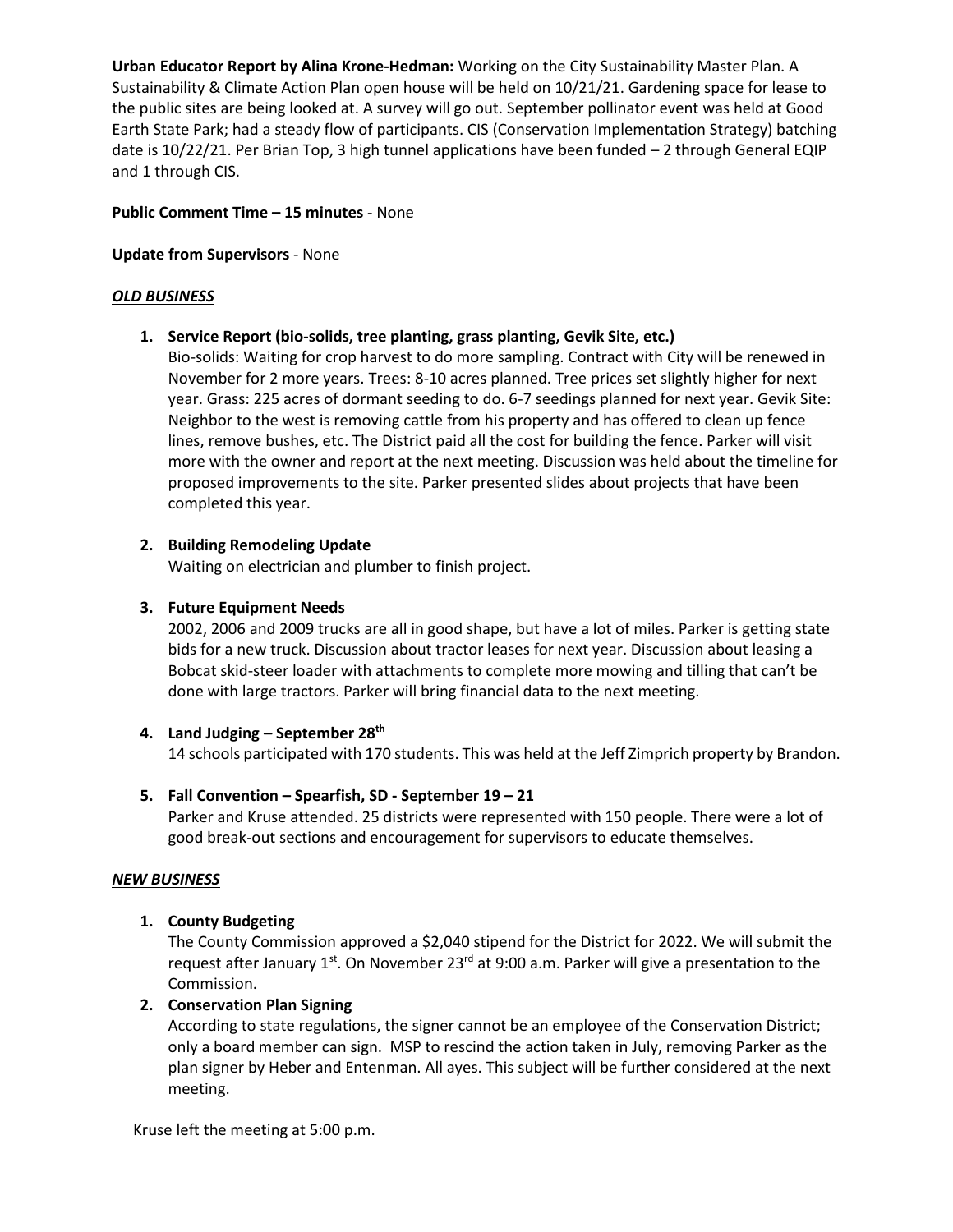**Urban Educator Report by Alina Krone-Hedman:** Working on the City Sustainability Master Plan. A Sustainability & Climate Action Plan open house will be held on 10/21/21. Gardening space for lease to the public sites are being looked at. A survey will go out. September pollinator event was held at Good Earth State Park; had a steady flow of participants. CIS (Conservation Implementation Strategy) batching date is 10/22/21. Per Brian Top, 3 high tunnel applications have been funded – 2 through General EQIP and 1 through CIS.

### **Public Comment Time – 15 minutes** - None

### **Update from Supervisors** - None

### *OLD BUSINESS*

**1. Service Report (bio-solids, tree planting, grass planting, Gevik Site, etc.)**

Bio-solids: Waiting for crop harvest to do more sampling. Contract with City will be renewed in November for 2 more years. Trees: 8-10 acres planned. Tree prices set slightly higher for next year. Grass: 225 acres of dormant seeding to do. 6-7 seedings planned for next year. Gevik Site: Neighbor to the west is removing cattle from his property and has offered to clean up fence lines, remove bushes, etc. The District paid all the cost for building the fence. Parker will visit more with the owner and report at the next meeting. Discussion was held about the timeline for proposed improvements to the site. Parker presented slides about projects that have been completed this year.

### **2. Building Remodeling Update**

Waiting on electrician and plumber to finish project.

## **3. Future Equipment Needs**

2002, 2006 and 2009 trucks are all in good shape, but have a lot of miles. Parker is getting state bids for a new truck. Discussion about tractor leases for next year. Discussion about leasing a Bobcat skid-steer loader with attachments to complete more mowing and tilling that can't be done with large tractors. Parker will bring financial data to the next meeting.

### **4. Land Judging – September 28th**

14 schools participated with 170 students. This was held at the Jeff Zimprich property by Brandon.

## **5. Fall Convention – Spearfish, SD - September 19 – 21**

Parker and Kruse attended. 25 districts were represented with 150 people. There were a lot of good break-out sections and encouragement for supervisors to educate themselves.

### *NEW BUSINESS*

## **1. County Budgeting**

The County Commission approved a \$2,040 stipend for the District for 2022. We will submit the request after January  $1^{st}$ . On November 23<sup>rd</sup> at 9:00 a.m. Parker will give a presentation to the Commission.

### **2. Conservation Plan Signing**

According to state regulations, the signer cannot be an employee of the Conservation District; only a board member can sign. MSP to rescind the action taken in July, removing Parker as the plan signer by Heber and Entenman. All ayes. This subject will be further considered at the next meeting.

Kruse left the meeting at 5:00 p.m.